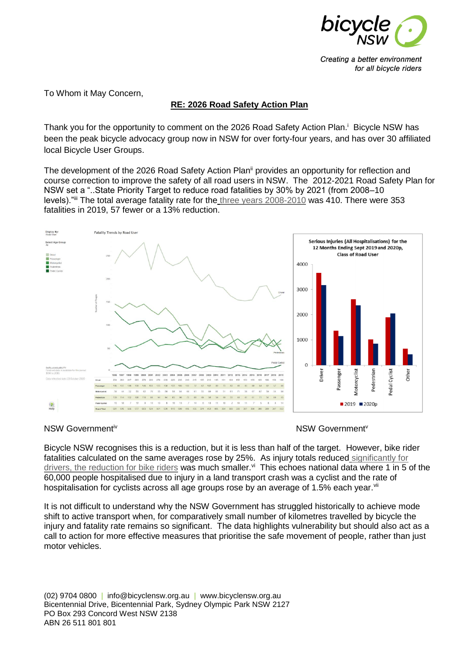

Creating a better environment for all bicycle riders

To Whom it May Concern,

# **RE: 2026 Road Safety Action Plan**

Thank you for the opportunity to comment on the 2026 Road Safety Action Plan.<sup>i</sup> Bicycle NSW has been the peak bicycle advocacy group now in NSW for over forty-four years, and has over 30 affiliated local Bicycle User Groups.

The development of the 2026 Road Safety Action Plan<sup>ii</sup> provides an opportunity for reflection and course correction to improve the safety of all road users in NSW. The 2012-2021 Road Safety Plan for NSW set a "..State Priority Target to reduce road fatalities by 30% by 2021 (from 2008–10 levels)."iii The total average fatality rate for the [three years 2008-2010](https://roadsafety.transport.nsw.gov.au/statistics/interactivecrashstats/nsw.html?tabnsw=5) was 410. There were 353 fatalities in 2019, 57 fewer or a 13% reduction.



### NSW Government<sup>iv</sup> NSW Government<sup>iv</sup>

Bicycle NSW recognises this is a reduction, but it is less than half of the target. However, bike rider fatalities calculated on the same averages rose by 25%. As injury totals reduced [significantly for](https://roadsafety.transport.nsw.gov.au/statistics/interactivecrashstats/nsw.html?tabnsw=5)  [drivers, the reduction for bike riders](https://roadsafety.transport.nsw.gov.au/statistics/interactivecrashstats/nsw.html?tabnsw=5) was much smaller.<sup>vi</sup> This echoes national data where 1 in 5 of the 60,000 people hospitalised due to injury in a land transport crash was a cyclist and the rate of hospitalisation for cyclists across all age groups rose by an average of 1.5% each year.<sup>vii</sup>

It is not difficult to understand why the NSW Government has struggled historically to achieve mode shift to active transport when, for comparatively small number of kilometres travelled by bicycle the injury and fatality rate remains so significant. The data highlights vulnerability but should also act as a call to action for more effective measures that prioritise the safe movement of people, rather than just motor vehicles.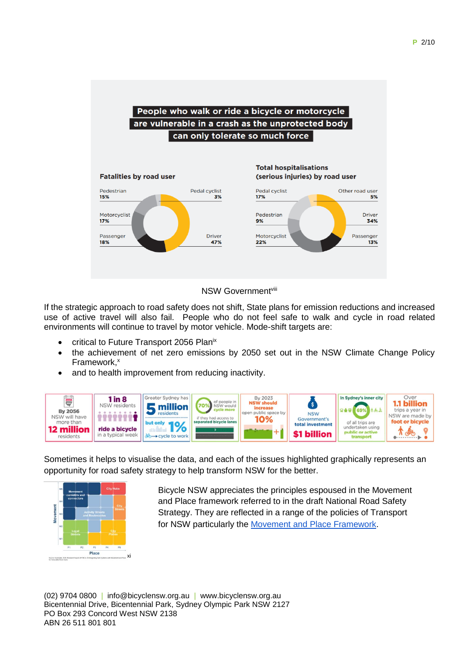



If the strategic approach to road safety does not shift, State plans for emission reductions and increased use of active travel will also fail. People who do not feel safe to walk and cycle in road related environments will continue to travel by motor vehicle. Mode-shift targets are:

- critical to Future Transport 2056 Planix
- the achievement of net zero emissions by 2050 set out in the NSW Climate Change Policy Framework.<sup>x</sup>
- and to health improvement from reducing inactivity.



Sometimes it helps to visualise the data, and each of the issues highlighted graphically represents an opportunity for road safety strategy to help transform NSW for the better.



Bicycle NSW appreciates the principles espoused in the Movement and Place framework referred to in the draft National Road Safety Strategy. They are reflected in a range of the policies of Transport for NSW particularly the [Movement and Place Framework.](http://www.transport.nsw.gov.au/industry/nsw-movement-and-place-framework)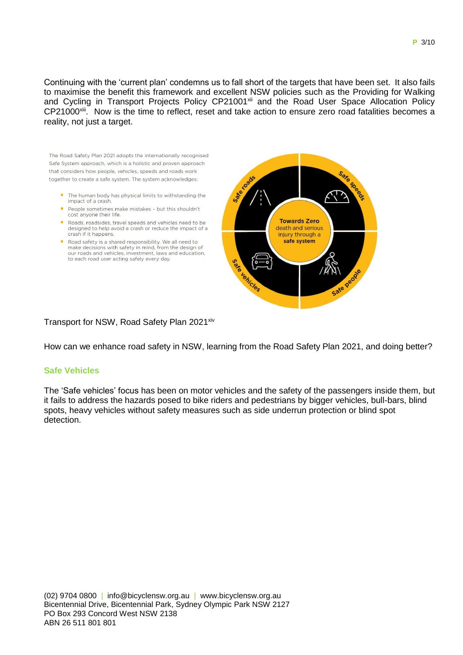Continuing with the 'current plan' condemns us to fall short of the targets that have been set. It also fails to maximise the benefit this framework and excellent NSW policies such as the Providing for Walking and Cycling in Transport Projects Policy CP21001<sup>xii</sup> and the Road User Space Allocation Policy CP21000<sup>xiii</sup>. Now is the time to reflect, reset and take action to ensure zero road fatalities becomes a reality, not just a target.

The Road Safety Plan 2021 adopts the internationally recognised Safe System approach, which is a holistic and proven approach that considers how people vehicles, speeds and roads work together to create a safe system. The system acknowledges:

- The human body has physical limits to withstanding the impact of a crash
- People sometimes make mistakes but this shouldn't cost anyone their life.
- Roads, roadsides, travel speeds and vehicles need to be designed to help avoid a crash or reduce the impact of a crash if it happens.
- Road safety is a shared responsibility. We all need to make decisions with safety in mind, from the design of our roads and vehicles, investment, laws and education, to each road user acting safely every day.



# Transport for NSW, Road Safety Plan 2021<sup>xiv</sup>

How can we enhance road safety in NSW, learning from the Road Safety Plan 2021, and doing better?

### **Safe Vehicles**

The 'Safe vehicles' focus has been on motor vehicles and the safety of the passengers inside them, but it fails to address the hazards posed to bike riders and pedestrians by bigger vehicles, bull-bars, blind spots, heavy vehicles without safety measures such as side underrun protection or blind spot detection.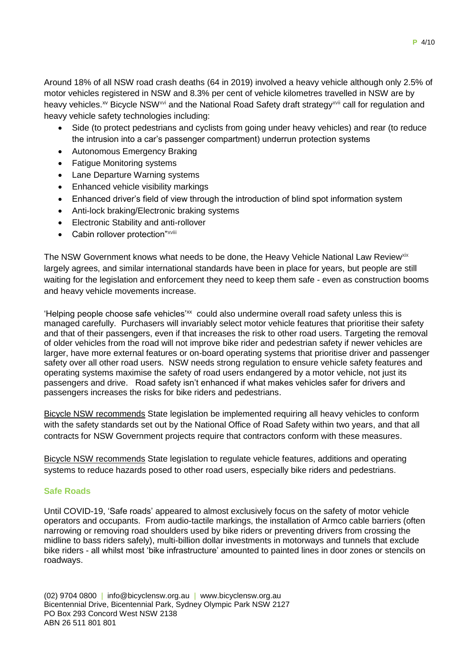Around 18% of all NSW road crash deaths (64 in 2019) involved a heavy vehicle although only 2.5% of motor vehicles registered in NSW and 8.3% per cent of vehicle kilometres travelled in NSW are by heavy vehicles.<sup>xv</sup> Bicycle NSW<sup>xvi</sup> and the National Road Safety draft strategy<sup>xvii</sup> call for regulation and heavy vehicle safety technologies including:

- Side (to protect pedestrians and cyclists from going under heavy vehicles) and rear (to reduce the intrusion into a car's passenger compartment) underrun protection systems
- Autonomous Emergency Braking
- Fatigue Monitoring systems
- Lane Departure Warning systems
- Enhanced vehicle visibility markings
- Enhanced driver's field of view through the introduction of blind spot information system
- Anti-lock braking/Electronic braking systems
- Electronic Stability and anti-rollover
- Cabin rollover protection"<sup>xviii</sup>

The NSW Government knows what needs to be done, the Heavy Vehicle National Law Review<sup>xix</sup> largely agrees, and similar international standards have been in place for years, but people are still waiting for the legislation and enforcement they need to keep them safe - even as construction booms and heavy vehicle movements increase.

'Helping people choose safe vehicles'xx could also undermine overall road safety unless this is managed carefully. Purchasers will invariably select motor vehicle features that prioritise their safety and that of their passengers, even if that increases the risk to other road users. Targeting the removal of older vehicles from the road will not improve bike rider and pedestrian safety if newer vehicles are larger, have more external features or on-board operating systems that prioritise driver and passenger safety over all other road users. NSW needs strong regulation to ensure vehicle safety features and operating systems maximise the safety of road users endangered by a motor vehicle, not just its passengers and drive. Road safety isn't enhanced if what makes vehicles safer for drivers and passengers increases the risks for bike riders and pedestrians.

Bicycle NSW recommends State legislation be implemented requiring all heavy vehicles to conform with the safety standards set out by the National Office of Road Safety within two years, and that all contracts for NSW Government projects require that contractors conform with these measures.

Bicycle NSW recommends State legislation to regulate vehicle features, additions and operating systems to reduce hazards posed to other road users, especially bike riders and pedestrians.

# **Safe Roads**

Until COVID-19, 'Safe roads' appeared to almost exclusively focus on the safety of motor vehicle operators and occupants. From audio-tactile markings, the installation of Armco cable barriers (often narrowing or removing road shoulders used by bike riders or preventing drivers from crossing the midline to bass riders safely), multi-billion dollar investments in motorways and tunnels that exclude bike riders - all whilst most 'bike infrastructure' amounted to painted lines in door zones or stencils on roadways.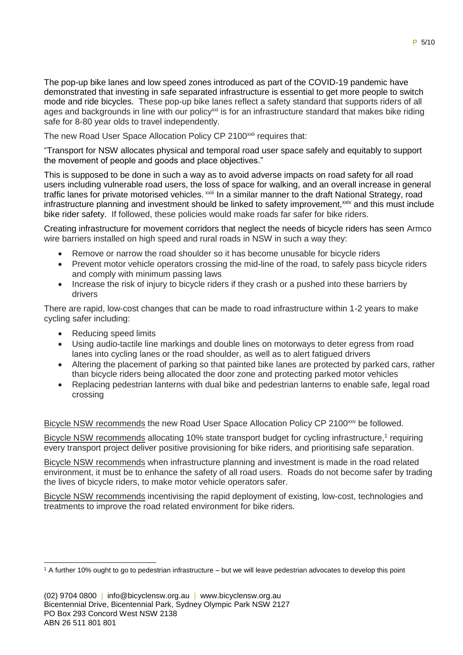The new Road User Space Allocation Policy CP 2100<sup>xxii</sup> requires that:

"Transport for NSW allocates physical and temporal road user space safely and equitably to support the movement of people and goods and place objectives."

This is supposed to be done in such a way as to avoid adverse impacts on road safety for all road users including vulnerable road users, the loss of space for walking, and an overall increase in general traffic lanes for private motorised vehicles. <sup>XXIII</sup> In a similar manner to the draft National Strategy, road infrastructure planning and investment should be linked to safety improvement,<sup>xxiv</sup> and this must include bike rider safety. If followed, these policies would make roads far safer for bike riders.

Creating infrastructure for movement corridors that neglect the needs of bicycle riders has seen Armco wire barriers installed on high speed and rural roads in NSW in such a way they:

- Remove or narrow the road shoulder so it has become unusable for bicycle riders
- Prevent motor vehicle operators crossing the mid-line of the road, to safely pass bicycle riders and comply with minimum passing laws
- Increase the risk of injury to bicycle riders if they crash or a pushed into these barriers by drivers

There are rapid, low-cost changes that can be made to road infrastructure within 1-2 years to make cycling safer including:

- Reducing speed limits
- Using audio-tactile line markings and double lines on motorways to deter egress from road lanes into cycling lanes or the road shoulder, as well as to alert fatigued drivers
- Altering the placement of parking so that painted bike lanes are protected by parked cars, rather than bicycle riders being allocated the door zone and protecting parked motor vehicles
- Replacing pedestrian lanterns with dual bike and pedestrian lanterns to enable safe, legal road crossing

Bicycle NSW recommends the new Road User Space Allocation Policy CP 2100<sup>xxv</sup> be followed.

Bicycle NSW recommends allocating 10% state transport budget for cycling infrastructure,<sup>1</sup> requiring every transport project deliver positive provisioning for bike riders, and prioritising safe separation.

Bicycle NSW recommends when infrastructure planning and investment is made in the road related environment, it must be to enhance the safety of all road users. Roads do not become safer by trading the lives of bicycle riders, to make motor vehicle operators safer.

Bicycle NSW recommends incentivising the rapid deployment of existing, low-cost, technologies and treatments to improve the road related environment for bike riders.

<sup>1</sup> <sup>1</sup> A further 10% ought to go to pedestrian infrastructure – but we will leave pedestrian advocates to develop this point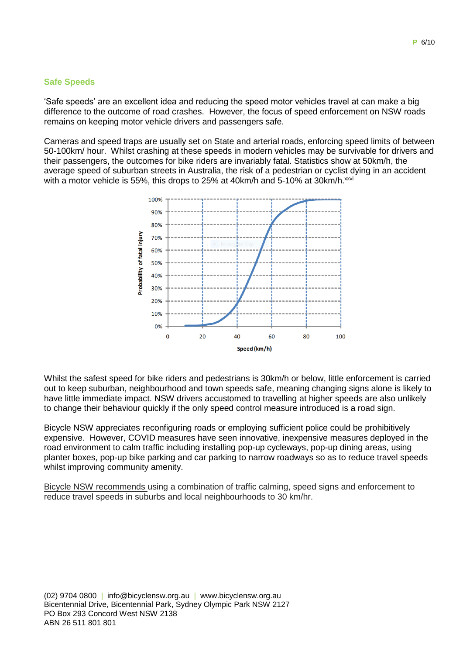### **Safe Speeds**

'Safe speeds' are an excellent idea and reducing the speed motor vehicles travel at can make a big difference to the outcome of road crashes. However, the focus of speed enforcement on NSW roads remains on keeping motor vehicle drivers and passengers safe.

Cameras and speed traps are usually set on State and arterial roads, enforcing speed limits of between 50-100km/ hour. Whilst crashing at these speeds in modern vehicles may be survivable for drivers and their passengers, the outcomes for bike riders are invariably fatal. Statistics show at 50km/h, the average speed of suburban streets in Australia, the risk of a pedestrian or cyclist dying in an accident with a motor vehicle is 55%, this drops to 25% at 40km/h and 5-10% at 30km/h.xxvi



Whilst the safest speed for bike riders and pedestrians is 30km/h or below, little enforcement is carried out to keep suburban, neighbourhood and town speeds safe, meaning changing signs alone is likely to have little immediate impact. NSW drivers accustomed to travelling at higher speeds are also unlikely to change their behaviour quickly if the only speed control measure introduced is a road sign.

Bicycle NSW appreciates reconfiguring roads or employing sufficient police could be prohibitively expensive. However, COVID measures have seen innovative, inexpensive measures deployed in the road environment to calm traffic including installing pop-up cycleways, pop-up dining areas, using planter boxes, pop-up bike parking and car parking to narrow roadways so as to reduce travel speeds whilst improving community amenity.

Bicycle NSW recommends using a combination of traffic calming, speed signs and enforcement to reduce travel speeds in suburbs and local neighbourhoods to 30 km/hr.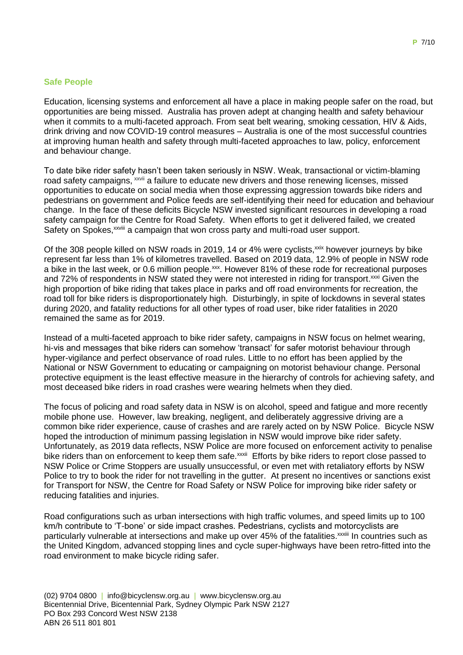### **Safe People**

Education, licensing systems and enforcement all have a place in making people safer on the road, but opportunities are being missed. Australia has proven adept at changing health and safety behaviour when it commits to a multi-faceted approach. From seat belt wearing, smoking cessation, HIV & Aids, drink driving and now COVID-19 control measures – Australia is one of the most successful countries at improving human health and safety through multi-faceted approaches to law, policy, enforcement and behaviour change.

To date bike rider safety hasn't been taken seriously in NSW. Weak, transactional or victim-blaming road safety campaigns, xxvii a failure to educate new drivers and those renewing licenses, missed opportunities to educate on social media when those expressing aggression towards bike riders and pedestrians on government and Police feeds are self-identifying their need for education and behaviour change. In the face of these deficits Bicycle NSW invested significant resources in developing a road safety campaign for the Centre for Road Safety. When efforts to get it delivered failed, we created Safety on Spokes,<sup>xxviii</sup> a campaign that won cross party and multi-road user support.

Of the 308 people killed on NSW roads in 2019, 14 or 4% were cyclists,<sup>xxix</sup> however journeys by bike represent far less than 1% of kilometres travelled. Based on 2019 data, 12.9% of people in NSW rode a bike in the last week, or 0.6 million people.<sup>xxx</sup>. However 81% of these rode for recreational purposes and 72% of respondents in NSW stated they were not interested in riding for transport.<sup>xxxi</sup> Given the high proportion of bike riding that takes place in parks and off road environments for recreation, the road toll for bike riders is disproportionately high. Disturbingly, in spite of lockdowns in several states during 2020, and fatality reductions for all other types of road user, bike rider fatalities in 2020 remained the same as for 2019.

Instead of a multi-faceted approach to bike rider safety, campaigns in NSW focus on helmet wearing, hi-vis and messages that bike riders can somehow 'transact' for safer motorist behaviour through hyper-vigilance and perfect observance of road rules. Little to no effort has been applied by the National or NSW Government to educating or campaigning on motorist behaviour change. Personal protective equipment is the least effective measure in the hierarchy of controls for achieving safety, and most deceased bike riders in road crashes were wearing helmets when they died.

The focus of policing and road safety data in NSW is on alcohol, speed and fatigue and more recently mobile phone use. However, law breaking, negligent, and deliberately aggressive driving are a common bike rider experience, cause of crashes and are rarely acted on by NSW Police. Bicycle NSW hoped the introduction of minimum passing legislation in NSW would improve bike rider safety. Unfortunately, as 2019 data reflects, NSW Police are more focused on enforcement activity to penalise bike riders than on enforcement to keep them safe.<sup>xxxii</sup> Efforts by bike riders to report close passed to NSW Police or Crime Stoppers are usually unsuccessful, or even met with retaliatory efforts by NSW Police to try to book the rider for not travelling in the gutter. At present no incentives or sanctions exist for Transport for NSW, the Centre for Road Safety or NSW Police for improving bike rider safety or reducing fatalities and injuries.

Road configurations such as urban intersections with high traffic volumes, and speed limits up to 100 km/h contribute to 'T-bone' or side impact crashes. Pedestrians, cyclists and motorcyclists are particularly vulnerable at intersections and make up over 45% of the fatalities.<sup>xxxiii</sup> In countries such as the United Kingdom, advanced stopping lines and cycle super-highways have been retro-fitted into the road environment to make bicycle riding safer.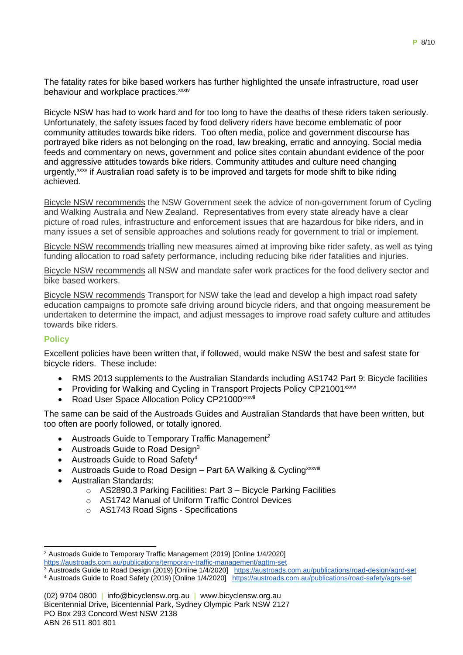The fatality rates for bike based workers has further highlighted the unsafe infrastructure, road user behaviour and workplace practices.<sup>xxxiv</sup>

Bicycle NSW has had to work hard and for too long to have the deaths of these riders taken seriously. Unfortunately, the safety issues faced by food delivery riders have become emblematic of poor community attitudes towards bike riders. Too often media, police and government discourse has portrayed bike riders as not belonging on the road, law breaking, erratic and annoying. Social media feeds and commentary on news, government and police sites contain abundant evidence of the poor and aggressive attitudes towards bike riders. Community attitudes and culture need changing urgently,<sup>xxx</sup> if Australian road safety is to be improved and targets for mode shift to bike riding achieved.

Bicycle NSW recommends the NSW Government seek the advice of non-government forum of Cycling and Walking Australia and New Zealand. Representatives from every state already have a clear picture of road rules, infrastructure and enforcement issues that are hazardous for bike riders, and in many issues a set of sensible approaches and solutions ready for government to trial or implement.

Bicycle NSW recommends trialling new measures aimed at improving bike rider safety, as well as tving funding allocation to road safety performance, including reducing bike rider fatalities and injuries.

Bicycle NSW recommends all NSW and mandate safer work practices for the food delivery sector and bike based workers.

Bicycle NSW recommends Transport for NSW take the lead and develop a high impact road safety education campaigns to promote safe driving around bicycle riders, and that ongoing measurement be undertaken to determine the impact, and adjust messages to improve road safety culture and attitudes towards bike riders.

## **Policy**

Excellent policies have been written that, if followed, would make NSW the best and safest state for bicycle riders. These include:

- RMS 2013 supplements to the Australian Standards including AS1742 Part 9: Bicycle facilities
- Providing for Walking and Cycling in Transport Projects Policy CP21001<sup>xxxvi</sup>
- Road User Space Allocation Policy CP21000xxxvii

The same can be said of the Austroads Guides and Australian Standards that have been written, but too often are poorly followed, or totally ignored.

- Austroads Guide to Temporary Traffic Management*<sup>2</sup>*
- Austroads Guide to Road Design $3$
- Austroads Guide to Road Safety<sup>4</sup>
- Austroads Guide to Road Design Part 6A Walking & Cycling<sup>xxxviii</sup>
- Australian Standards:
	- o AS2890.3 Parking Facilities: Part 3 Bicycle Parking Facilities
	- o AS1742 Manual of Uniform Traffic Control Devices
	- o AS1743 Road Signs Specifications

<sup>1</sup> <sup>2</sup> Austroads Guide to Temporary Traffic Management (2019) [Online 1/4/2020] <https://austroads.com.au/publications/temporary-traffic-management/agttm-set>

<sup>3</sup> Austroads Guide to Road Design (2019) [Online 1/4/2020] <https://austroads.com.au/publications/road-design/agrd-set>

<sup>4</sup> Austroads Guide to Road Safety (2019) [Online 1/4/2020] <https://austroads.com.au/publications/road-safety/agrs-set>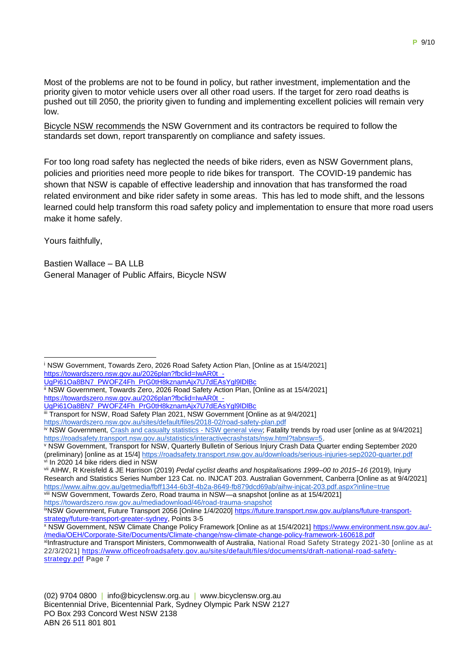Most of the problems are not to be found in policy, but rather investment, implementation and the priority given to motor vehicle users over all other road users. If the target for zero road deaths is pushed out till 2050, the priority given to funding and implementing excellent policies will remain very low.

Bicycle NSW recommends the NSW Government and its contractors be required to follow the standards set down, report transparently on compliance and safety issues.

For too long road safety has neglected the needs of bike riders, even as NSW Government plans, policies and priorities need more people to ride bikes for transport. The COVID-19 pandemic has shown that NSW is capable of effective leadership and innovation that has transformed the road related environment and bike rider safety in some areas. This has led to mode shift, and the lessons learned could help transform this road safety policy and implementation to ensure that more road users make it home safely.

Yours faithfully,

Bastien Wallace – BA LLB General Manager of Public Affairs, Bicycle NSW

<https://towardszero.nsw.gov.au/mediadownload/46/road-trauma-snapshot>

<sup>i</sup> NSW Government, Towards Zero, 2026 Road Safety Action Plan, [Online as at 15/4/2021] https://towardszero.nsw.gov.au/2026plan?fbclid=IwAR0t -1

[UgPi61Oa8BN7\\_PWOFZ4Fh\\_PrG0tH8kznamAjx7U7dEAsYgl9lDlBc](https://towardszero.nsw.gov.au/2026plan?fbclid=IwAR0t_-UgPi61Oa8BN7_PWOFZ4Fh_PrG0tH8kznamAjx7U7dEAsYgl9lDlBc)

ii NSW Government, Towards Zero, 2026 Road Safety Action Plan, [Online as at 15/4/2021] [https://towardszero.nsw.gov.au/2026plan?fbclid=IwAR0t\\_-](https://towardszero.nsw.gov.au/2026plan?fbclid=IwAR0t_-UgPi61Oa8BN7_PWOFZ4Fh_PrG0tH8kznamAjx7U7dEAsYgl9lDlBc)

[UgPi61Oa8BN7\\_PWOFZ4Fh\\_PrG0tH8kznamAjx7U7dEAsYgl9lDlBc](https://towardszero.nsw.gov.au/2026plan?fbclid=IwAR0t_-UgPi61Oa8BN7_PWOFZ4Fh_PrG0tH8kznamAjx7U7dEAsYgl9lDlBc)

iii Transport for NSW, Road Safety Plan 2021, NSW Government [Online as at 9/4/2021]

<https://towardszero.nsw.gov.au/sites/default/files/2018-02/road-safety-plan.pdf>

iv NSW Government[, Crash and casualty statistics -](https://roadsafety.transport.nsw.gov.au/statistics/interactivecrashstats/nsw.html?tabnsw=5) NSW general view; Fatality trends by road user [online as at 9/4/2021] [https://roadsafety.transport.nsw.gov.au/statistics/interactivecrashstats/nsw.html?tabnsw=5.](https://roadsafety.transport.nsw.gov.au/statistics/interactivecrashstats/nsw.html?tabnsw=5)

v NSW Government, Transport for NSW, Quarterly Bulletin of Serious Injury Crash Data Quarter ending September 2020 (preliminary) [online as at 15/4[\] https://roadsafety.transport.nsw.gov.au/downloads/serious-injuries-sep2020-quarter.pdf](https://roadsafety.transport.nsw.gov.au/downloads/serious-injuries-sep2020-quarter.pdf) vi In 2020 14 bike riders died in NSW

vii AIHW, R Kreisfeld & JE Harrison (2019) *Pedal cyclist deaths and hospitalisations 1999–00 to 2015–16* (2019), Injury Research and Statistics Series Number 123 Cat. no. INJCAT 203. Australian Government, Canberra [Online as at 9/4/2021] <https://www.aihw.gov.au/getmedia/fbff1344-6b3f-4b2a-8649-fb879dcd69ab/aihw-injcat-203.pdf.aspx?inline=true> viii NSW Government, Towards Zero, Road trauma in NSW—a snapshot [online as at 15/4/2021]

ixNSW Government, Future Transport 2056 [Online 1/4/2020] [https://future.transport.nsw.gov.au/plans/future-transport](https://future.transport.nsw.gov.au/plans/future-transport-strategy/future-transport-greater-sydney)[strategy/future-transport-greater-sydney,](https://future.transport.nsw.gov.au/plans/future-transport-strategy/future-transport-greater-sydney) Points 3-5

<sup>x</sup> NSW Government, NSW Climate Change Policy Framework [Online as at 15/4/2021] [https://www.environment.nsw.gov.au/-](https://www.environment.nsw.gov.au/-/media/OEH/Corporate-Site/Documents/Climate-change/nsw-climate-change-policy-framework-160618.pdf) [/media/OEH/Corporate-Site/Documents/Climate-change/nsw-climate-change-policy-framework-160618.pdf](https://www.environment.nsw.gov.au/-/media/OEH/Corporate-Site/Documents/Climate-change/nsw-climate-change-policy-framework-160618.pdf) xilnfrastructure and Transport Ministers, Commonwealth of Australia, National Road Safety Strategy 2021-30 [online as at 22/3/2021] [https://www.officeofroadsafety.gov.au/sites/default/files/documents/draft-national-road-safety](https://www.officeofroadsafety.gov.au/sites/default/files/documents/draft-national-road-safety-strategy.pdf)[strategy.pdf](https://www.officeofroadsafety.gov.au/sites/default/files/documents/draft-national-road-safety-strategy.pdf) Page 7